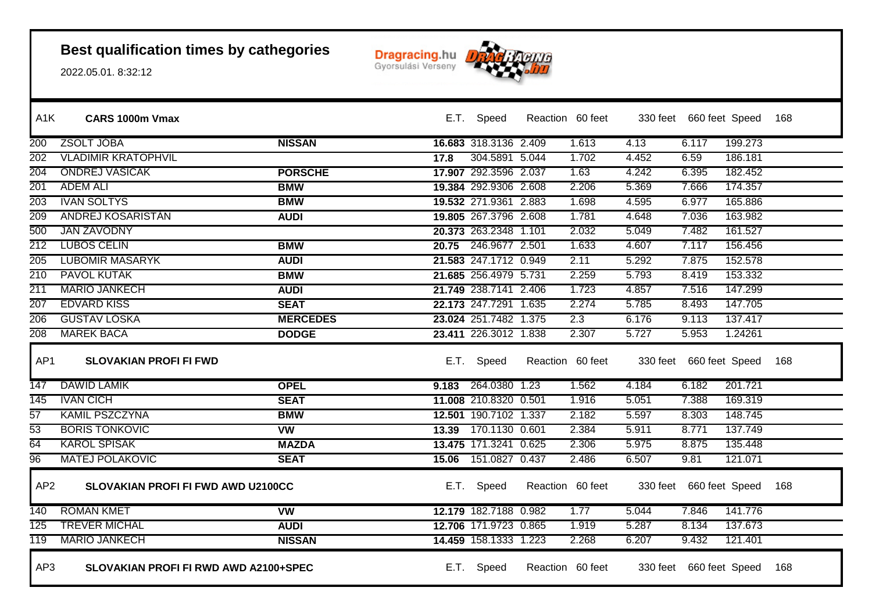

| A <sub>1</sub> K | CARS 1000m Vmax                              |                 |      | E.T. Speed            | Reaction 60 feet |       | 330 feet 660 feet Speed |         | - 168 |
|------------------|----------------------------------------------|-----------------|------|-----------------------|------------------|-------|-------------------------|---------|-------|
| 200              | <b>ZSOLT JOBA</b>                            | <b>NISSAN</b>   |      | 16.683 318.3136 2.409 | 1.613            | 4.13  | 6.117                   | 199.273 |       |
| 202              | <b>VLADIMIR KRATOPHVIL</b>                   |                 | 17.8 | 304.5891 5.044        | 1.702            | 4.452 | 6.59                    | 186.181 |       |
| 204              | <b>ONDREJ VASICAK</b>                        | <b>PORSCHE</b>  |      | 17.907 292.3596 2.037 | 1.63             | 4.242 | 6.395                   | 182.452 |       |
| 201              | <b>ADEM ALI</b>                              | <b>BMW</b>      |      | 19.384 292.9306 2.608 | 2.206            | 5.369 | 7.666                   | 174.357 |       |
| 203              | <b>IVAN SOLTYS</b>                           | <b>BMW</b>      |      | 19.532 271.9361 2.883 | 1.698            | 4.595 | 6.977                   | 165.886 |       |
| 209              | ANDREJ KOSARISTAN                            | <b>AUDI</b>     |      | 19.805 267.3796 2.608 | 1.781            | 4.648 | 7.036                   | 163.982 |       |
| 500              | <b>JAN ZAVODNY</b>                           |                 |      | 20.373 263.2348 1.101 | 2.032            | 5.049 | 7.482                   | 161.527 |       |
| $\overline{212}$ | <b>LUBOS CELIN</b>                           | <b>BMW</b>      |      | 20.75 246.9677 2.501  | 1.633            | 4.607 | 7.117                   | 156.456 |       |
| 205              | <b>LUBOMIR MASARYK</b>                       | <b>AUDI</b>     |      | 21.583 247.1712 0.949 | 2.11             | 5.292 | 7.875                   | 152.578 |       |
| 210              | <b>PAVOL KUTAK</b>                           | <b>BMW</b>      |      | 21.685 256.4979 5.731 | 2.259            | 5.793 | 8.419                   | 153.332 |       |
| 211              | <b>MARIO JANKECH</b>                         | <b>AUDI</b>     |      | 21.749 238.7141 2.406 | 1.723            | 4.857 | 7.516                   | 147.299 |       |
| 207              | <b>EDVARD KISS</b>                           | <b>SEAT</b>     |      | 22.173 247.7291 1.635 | 2.274            | 5.785 | 8.493                   | 147.705 |       |
| 206              | <b>GUSTAV LOSKA</b>                          | <b>MERCEDES</b> |      | 23.024 251.7482 1.375 | 2.3              | 6.176 | 9.113                   | 137.417 |       |
| 208              | <b>MAREK BACA</b>                            | <b>DODGE</b>    |      | 23.411 226.3012 1.838 | 2.307            | 5.727 | 5.953                   | 1.24261 |       |
| AP1              | <b>SLOVAKIAN PROFI FI FWD</b>                |                 |      | E.T. Speed            | Reaction 60 feet |       | 330 feet 660 feet Speed |         | 168   |
| 147              | <b>DAWID LAMIK</b>                           | <b>OPEL</b>     |      | 9.183 264.0380 1.23   | 1.562            | 4.184 | 6.182                   | 201.721 |       |
| $\overline{145}$ | <b>IVAN CICH</b>                             | <b>SEAT</b>     |      | 11.008 210.8320 0.501 | 1.916            | 5.051 | 7.388                   | 169.319 |       |
| $\overline{57}$  | KAMIL PSZCZYNA                               | <b>BMW</b>      |      | 12.501 190.7102 1.337 | 2.182            | 5.597 | 8.303                   | 148.745 |       |
| $\overline{53}$  | <b>BORIS TONKOVIC</b>                        | <b>VW</b>       |      | 13.39 170.1130 0.601  | 2.384            | 5.911 | 8.771                   | 137.749 |       |
| 64               | <b>KAROL SPISAK</b>                          | <b>MAZDA</b>    |      | 13.475 171.3241 0.625 | 2.306            | 5.975 | 8.875                   | 135.448 |       |
| $\overline{96}$  | <b>MATEJ POLAKOVIC</b>                       | <b>SEAT</b>     |      | 15.06 151.0827 0.437  | 2.486            | 6.507 | 9.81                    | 121.071 |       |
| AP <sub>2</sub>  | SLOVAKIAN PROFI FI FWD AWD U2100CC           |                 |      | E.T. Speed            | Reaction 60 feet |       | 330 feet 660 feet Speed |         | 168   |
| 140              | <b>ROMAN KMET</b>                            | <b>VW</b>       |      | 12.179 182.7188 0.982 | 1.77             | 5.044 | 7.846                   | 141.776 |       |
| 125              | <b>TREVER MICHAL</b>                         | <b>AUDI</b>     |      | 12.706 171.9723 0.865 | 1.919            | 5.287 | 8.134                   | 137.673 |       |
| 119              | <b>MARIO JANKECH</b>                         | <b>NISSAN</b>   |      | 14.459 158.1333 1.223 | 2.268            | 6.207 | 9.432                   | 121.401 |       |
| AP3              | <b>SLOVAKIAN PROFI FI RWD AWD A2100+SPEC</b> |                 |      | E.T. Speed            | Reaction 60 feet |       | 330 feet 660 feet Speed |         | 168   |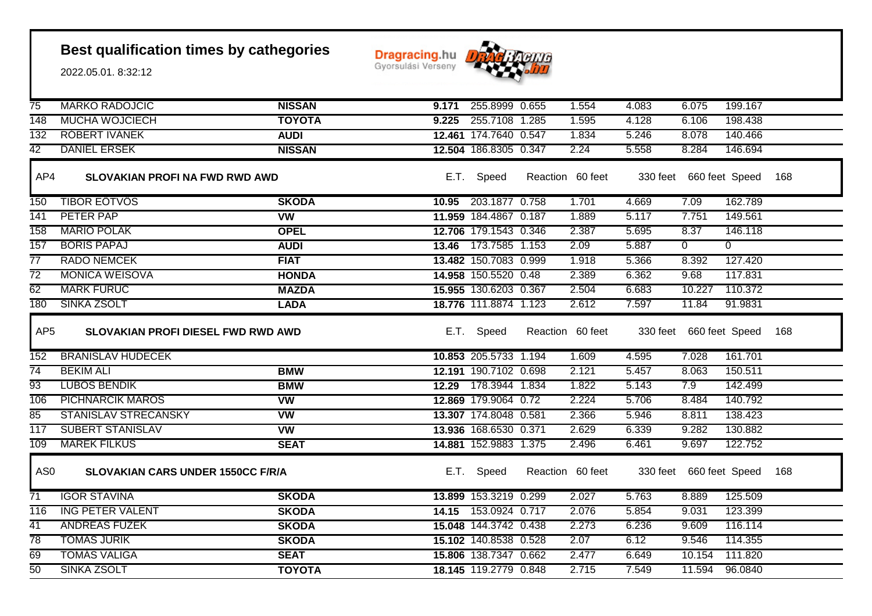

| $\overline{75}$        | <b>MARKO RADOJCIC</b>                                           | <b>NISSAN</b> |       | 9.171 255.8999 0.655           | 1.554                     | 4.083                   | 6.075                            | 199.167            |     |
|------------------------|-----------------------------------------------------------------|---------------|-------|--------------------------------|---------------------------|-------------------------|----------------------------------|--------------------|-----|
| 148                    | <b>MUCHA WOJCIECH</b>                                           | <b>TOYOTA</b> | 9.225 | 255.7108 1.285                 | 1.595                     | 4.128                   | 6.106                            | 198.438            |     |
| 132                    | <b>ROBERT IVANEK</b>                                            | <b>AUDI</b>   |       | 12.461 174.7640 0.547          | 1.834                     | 5.246                   | 8.078                            | 140.466            |     |
| $\overline{42}$        | <b>DANIEL ERSEK</b>                                             | <b>NISSAN</b> |       | 12.504 186.8305 0.347          | 2.24                      | 5.558                   | 8.284                            | 146.694            |     |
| AP4                    | <b>SLOVAKIAN PROFI NA FWD RWD AWD</b>                           |               |       | E.T. Speed                     | Reaction 60 feet          |                         | 330 feet 660 feet Speed          |                    | 168 |
| 150                    | <b>TIBOR EOTVOS</b>                                             | <b>SKODA</b>  | 10.95 | 203.1877 0.758                 | 1.701                     | 4.669                   | 7.09                             | 162.789            |     |
| 141                    | PETER PAP                                                       | <b>VW</b>     |       | 11.959 184.4867 0.187          | 1.889                     | 5.117                   | 7.751                            | 149.561            |     |
| 158                    | <b>MARIO POLAK</b>                                              | <b>OPEL</b>   |       | 12.706 179.1543 0.346          | 2.387                     | 5.695                   | 8.37                             | 146.118            |     |
| 157                    | <b>BORIS PAPAJ</b>                                              | <b>AUDI</b>   |       | 13.46 173.7585 1.153           | 2.09                      | 5.887                   | $\overline{0}$                   | $\Omega$           |     |
| 77                     | <b>RADO NEMCEK</b>                                              | <b>FIAT</b>   |       | 13.482 150.7083 0.999          | 1.918                     | 5.366                   | 8.392                            | 127.420            |     |
| $\overline{72}$        | <b>MONICA WEISOVA</b>                                           | <b>HONDA</b>  |       | 14.958 150.5520 0.48           | 2.389                     | 6.362                   | 9.68                             | 117.831            |     |
| 62                     | <b>MARK FURUC</b>                                               | <b>MAZDA</b>  |       | 15.955 130.6203 0.367          | 2.504                     | 6.683                   | 10.227                           | 110.372            |     |
| 180                    | SINKA ZSOLT                                                     | <b>LADA</b>   |       | 18.776 111.8874 1.123          | 2.612                     | 7.597                   | 11.84                            | 91.9831            |     |
| AP <sub>5</sub>        | SLOVAKIAN PROFI DIESEL FWD RWD AWD                              |               |       | E.T. Speed                     | Reaction 60 feet          | 330 feet 660 feet Speed |                                  |                    | 168 |
|                        |                                                                 |               |       |                                |                           |                         |                                  |                    |     |
| 152                    | <b>BRANISLAV HUDECEK</b>                                        |               |       | 10.853 205.5733 1.194          | 1.609                     | 4.595                   | 7.028                            | 161.701            |     |
| $\overline{74}$        | <b>BEKIM ALI</b>                                                | <b>BMW</b>    |       | 12.191 190.7102 0.698          | 2.121                     | 5.457                   | 8.063                            | 150.511            |     |
| 93                     | <b>LUBOS BENDIK</b>                                             | <b>BMW</b>    |       | 12.29 178.3944 1.834           | 1.822                     | 5.143                   | 7.9                              | 142.499            |     |
| 106                    | <b>PICHNARCIK MAROS</b>                                         | <b>VW</b>     |       | 12.869 179.9064 0.72           | 2.224                     | 5.706                   | 8.484                            | 140.792            |     |
| 85                     | <b>STANISLAV STRECANSKY</b>                                     | <b>VW</b>     |       | 13.307 174.8048 0.581          | 2.366                     | 5.946                   | 8.811                            | 138.423            |     |
| $\overline{117}$       | <b>SUBERT STANISLAV</b>                                         | <b>VW</b>     |       | 13.936 168.6530 0.371          | 2.629                     | 6.339                   | 9.282                            | 130.882            |     |
| 109<br>AS <sub>0</sub> | <b>MAREK FILKUS</b><br><b>SLOVAKIAN CARS UNDER 1550CC F/R/A</b> | <b>SEAT</b>   | E.T.  | 14.881 152.9883 1.375<br>Speed | 2.496<br>Reaction 60 feet | 6.461                   | 9.697<br>330 feet 660 feet Speed | 122.752            | 168 |
| $\overline{71}$        | <b>IGOR STAVINA</b>                                             | <b>SKODA</b>  |       | 13.899 153.3219 0.299          | 2.027                     | 5.763                   | 8.889                            | 125.509            |     |
| 116                    | <b>ING PETER VALENT</b>                                         | <b>SKODA</b>  |       | 14.15 153.0924 0.717           | 2.076                     | 5.854                   | 9.031                            | 123.399            |     |
| $\overline{41}$        | <b>ANDREAS FÜZEK</b>                                            | <b>SKODA</b>  |       | 15.048 144.3742 0.438          | 2.273                     | 6.236                   | 9.609                            | 116.114            |     |
| $\overline{78}$        | <b>TOMAS JURIK</b>                                              | <b>SKODA</b>  |       | 15.102 140.8538 0.528          | 2.07                      | 6.12                    | 9.546                            | 114.355            |     |
| 69<br>$\overline{50}$  | <b>TOMAS VALIGA</b><br><b>SINKA ZSOLT</b>                       | <b>SEAT</b>   |       | 15.806 138.7347 0.662          | 2.477<br>2.715            | 6.649<br>7.549          | 10.154<br>11.594                 | 111.820<br>96.0840 |     |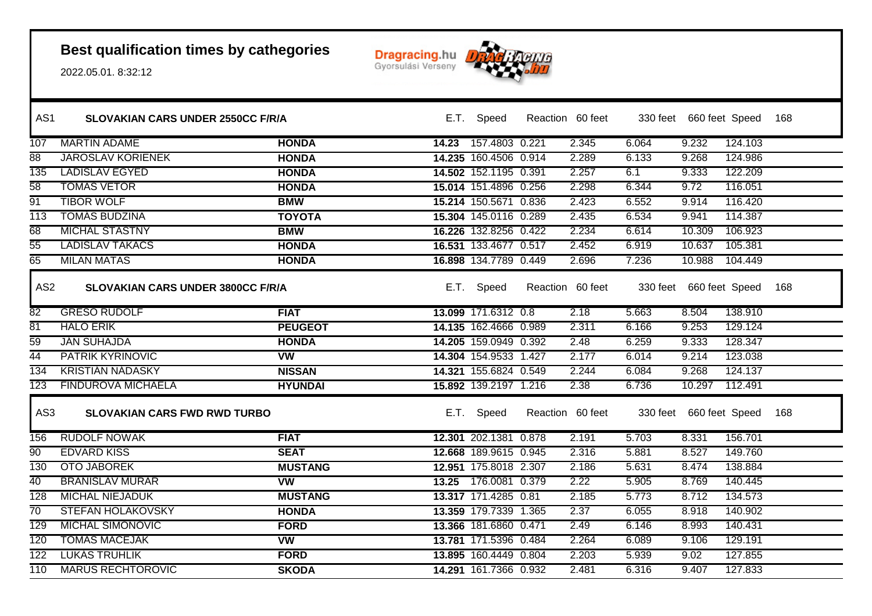

| AS <sub>1</sub> | <b>SLOVAKIAN CARS UNDER 2550CC F/R/A</b> |                          |       | E.T. Speed            | Reaction 60 feet |       | 330 feet 660 feet Speed 168 |         |     |
|-----------------|------------------------------------------|--------------------------|-------|-----------------------|------------------|-------|-----------------------------|---------|-----|
| 107             | <b>MARTIN ADAME</b>                      | <b>HONDA</b>             | 14.23 | 157.4803 0.221        | 2.345            | 6.064 | 9.232                       | 124.103 |     |
| 88              | <b>JAROSLAV KORIENEK</b>                 | <b>HONDA</b>             |       | 14.235 160.4506 0.914 | 2.289            | 6.133 | 9.268                       | 124.986 |     |
| 135             | <b>LADISLAV EGYED</b>                    | <b>HONDA</b>             |       | 14.502 152.1195 0.391 | 2.257            | 6.1   | 9.333                       | 122.209 |     |
| $\overline{58}$ | <b>TOMAS VETOR</b>                       | <b>HONDA</b>             |       | 15.014 151.4896 0.256 | 2.298            | 6.344 | 9.72                        | 116.051 |     |
| 91              | <b>TIBOR WOLF</b>                        | <b>BMW</b>               |       | 15.214 150.5671 0.836 | 2.423            | 6.552 | 9.914                       | 116.420 |     |
| 113             | <b>TOMÁS BUDZINA</b>                     | <b>TOYOTA</b>            |       | 15.304 145.0116 0.289 | 2.435            | 6.534 | 9.941                       | 114.387 |     |
| 68              | <b>MICHAL STASTNY</b>                    | <b>BMW</b>               |       | 16.226 132.8256 0.422 | 2.234            | 6.614 | 10.309                      | 106.923 |     |
| $\overline{55}$ | <b>LADISLAV TAKACS</b>                   | <b>HONDA</b>             |       | 16.531 133.4677 0.517 | 2.452            | 6.919 | 10.637                      | 105.381 |     |
| 65              | <b>MILAN MATAS</b>                       | <b>HONDA</b>             |       | 16.898 134.7789 0.449 | 2.696            | 7.236 | 10.988                      | 104.449 |     |
| AS <sub>2</sub> | SLOVAKIAN CARS UNDER 3800CC F/R/A        |                          |       | E.T. Speed            | Reaction 60 feet |       | 330 feet 660 feet Speed     |         | 168 |
| 82              | <b>GRESO RUDOLF</b>                      | <b>FIAT</b>              |       | 13.099 171.6312 0.8   | 2.18             | 5.663 | 8.504                       | 138.910 |     |
| $\overline{81}$ | <b>HALO ERIK</b>                         | <b>PEUGEOT</b>           |       | 14.135 162.4666 0.989 | 2.311            | 6.166 | 9.253                       | 129.124 |     |
| 59              | <b>JAN SUHAJDA</b>                       | <b>HONDA</b>             |       | 14.205 159.0949 0.392 | 2.48             | 6.259 | 9.333                       | 128.347 |     |
| 44              | <b>PATRIK KYRINOVIC</b>                  | $\overline{\text{vw}}$   |       | 14.304 154.9533 1.427 | 2.177            | 6.014 | 9.214                       | 123.038 |     |
| 134             | <b>KRISTIAN NADASKY</b>                  | <b>NISSAN</b>            |       | 14.321 155.6824 0.549 | 2.244            | 6.084 | 9.268                       | 124.137 |     |
| 123             | <b>FINDUROVA MICHAELA</b>                | <b>HYUNDAI</b>           |       | 15.892 139.2197 1.216 | 2.38             | 6.736 | 10.297                      | 112.491 |     |
| AS3             | <b>SLOVAKIAN CARS FWD RWD TURBO</b>      |                          |       | E.T. Speed            | Reaction 60 feet |       | 330 feet 660 feet Speed     |         | 168 |
| 156             | <b>RUDOLF NOWAK</b>                      | <b>FIAT</b>              |       | 12.301 202.1381 0.878 | 2.191            | 5.703 | 8.331                       | 156.701 |     |
| 90              | <b>EDVARD KISS</b>                       | <b>SEAT</b>              |       | 12.668 189.9615 0.945 | 2.316            | 5.881 | 8.527                       | 149.760 |     |
| 130             | <b>OTO JABOREK</b>                       | <b>MUSTANG</b>           |       | 12.951 175.8018 2.307 | 2.186            | 5.631 | 8.474                       | 138.884 |     |
| 40              | <b>BRANISLAV MURAR</b>                   | $\overline{\mathsf{vw}}$ |       | 13.25 176.0081 0.379  | 2.22             | 5.905 | 8.769                       | 140.445 |     |
| 128             | <b>MICHAL NIEJADUK</b>                   | <b>MUSTANG</b>           |       | 13.317 171.4285 0.81  | 2.185            | 5.773 | 8.712                       | 134.573 |     |
| $\overline{70}$ | <b>STEFAN HOLAKOVSKY</b>                 | <b>HONDA</b>             |       | 13.359 179.7339 1.365 | 2.37             | 6.055 | 8.918                       | 140.902 |     |
| 129             | <b>MICHAL SIMONOVIC</b>                  | <b>FORD</b>              |       | 13.366 181.6860 0.471 | 2.49             | 6.146 | 8.993                       | 140.431 |     |
| 120             | <b>TOMAS MACEJAK</b>                     | <b>VW</b>                |       | 13.781 171.5396 0.484 | 2.264            | 6.089 | 9.106                       | 129.191 |     |
| 122             | <b>LUKAS TRUHLIK</b>                     | <b>FORD</b>              |       | 13.895 160.4449 0.804 | 2.203            | 5.939 | 9.02                        | 127.855 |     |
| 110             | <b>MARUS RECHTOROVIC</b>                 | <b>SKODA</b>             |       | 14.291 161.7366 0.932 | 2.481            | 6.316 | 9.407                       | 127.833 |     |
|                 |                                          |                          |       |                       |                  |       |                             |         |     |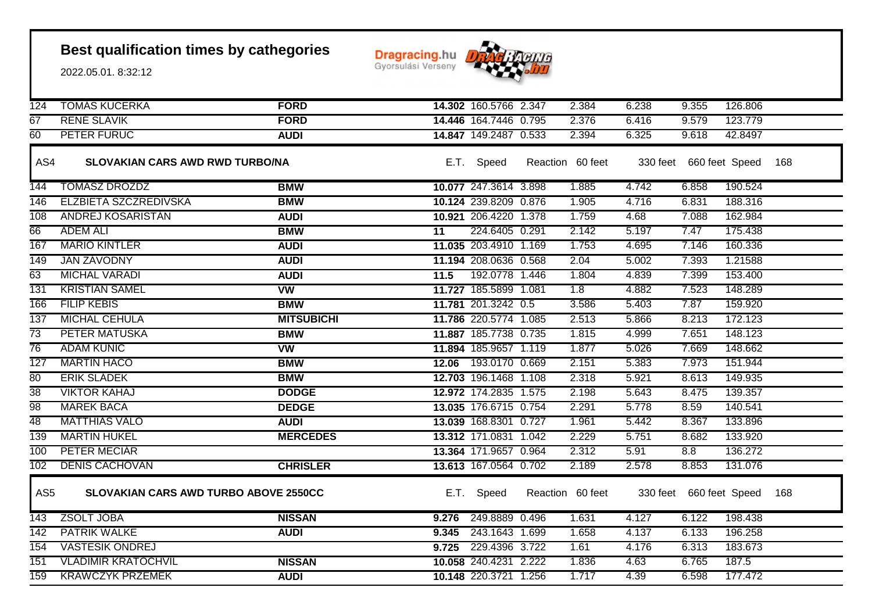

| 124              | <b>TOMAS KUCERKA</b>                         | <b>FORD</b>       |       | 14.302 160.5766 2.347 | 2.384            | 6.238 | 9.355                   | 126.806 |     |
|------------------|----------------------------------------------|-------------------|-------|-----------------------|------------------|-------|-------------------------|---------|-----|
| 67               | <b>RENE SLAVIK</b>                           | <b>FORD</b>       |       | 14.446 164.7446 0.795 | 2.376            | 6.416 | 9.579                   | 123.779 |     |
| 60               | PETER FURUC                                  | <b>AUDI</b>       |       | 14.847 149.2487 0.533 | 2.394            | 6.325 | 9.618                   | 42.8497 |     |
| AS4              | <b>SLOVAKIAN CARS AWD RWD TURBO/NA</b>       |                   |       | E.T. Speed            | Reaction 60 feet |       | 330 feet 660 feet Speed |         | 168 |
| 144              | <b>TOMASZ DROZDZ</b>                         | <b>BMW</b>        |       | 10.077 247.3614 3.898 | 1.885            | 4.742 | 6.858                   | 190.524 |     |
| 146              | ELZBIETA SZCZREDIVSKA                        | <b>BMW</b>        |       | 10.124 239.8209 0.876 | 1.905            | 4.716 | 6.831                   | 188.316 |     |
| 108              | ANDREJ KOSARISTAN                            | <b>AUDI</b>       |       | 10.921 206.4220 1.378 | 1.759            | 4.68  | 7.088                   | 162.984 |     |
| 66               | <b>ADEM ALI</b>                              | <b>BMW</b>        | 11    | 224.6405 0.291        | 2.142            | 5.197 | 7.47                    | 175.438 |     |
| 167              | <b>MARIO KINTLER</b>                         | <b>AUDI</b>       |       | 11.035 203.4910 1.169 | 1.753            | 4.695 | 7.146                   | 160.336 |     |
| 149              | <b>JAN ZAVODNY</b>                           | <b>AUDI</b>       |       | 11.194 208.0636 0.568 | 2.04             | 5.002 | 7.393                   | 1.21588 |     |
| 63               | <b>MICHAL VARADI</b>                         | <b>AUDI</b>       | 11.5  | 192.0778 1.446        | 1.804            | 4.839 | 7.399                   | 153.400 |     |
| 131              | <b>KRISTIAN SAMEL</b>                        | <b>VW</b>         |       | 11.727 185.5899 1.081 | 1.8              | 4.882 | 7.523                   | 148.289 |     |
| 166              | <b>FILIP KEBIS</b>                           | <b>BMW</b>        |       | 11.781 201.3242 0.5   | 3.586            | 5.403 | 7.87                    | 159.920 |     |
| 137              | <b>MICHAL CEHULA</b>                         | <b>MITSUBICHI</b> |       | 11.786 220.5774 1.085 | 2.513            | 5.866 | 8.213                   | 172.123 |     |
| $\overline{73}$  | <b>PETER MATUSKA</b>                         | <b>BMW</b>        |       | 11.887 185.7738 0.735 | 1.815            | 4.999 | 7.651                   | 148.123 |     |
| $\overline{76}$  | <b>ADAM KUNIC</b>                            | <b>VW</b>         |       | 11.894 185.9657 1.119 | 1.877            | 5.026 | 7.669                   | 148.662 |     |
| 127              | <b>MARTIN HACO</b>                           | <b>BMW</b>        |       | 12.06 193.0170 0.669  | 2.151            | 5.383 | 7.973                   | 151.944 |     |
| 80               | <b>ERIK SLADEK</b>                           | <b>BMW</b>        |       | 12.703 196.1468 1.108 | 2.318            | 5.921 | 8.613                   | 149.935 |     |
| $\overline{38}$  | <b>VIKTOR KAHAJ</b>                          | <b>DODGE</b>      |       | 12.972 174.2835 1.575 | 2.198            | 5.643 | 8.475                   | 139.357 |     |
| 98               | <b>MAREK BACA</b>                            | <b>DEDGE</b>      |       | 13.035 176.6715 0.754 | 2.291            | 5.778 | 8.59                    | 140.541 |     |
| 48               | <b>MATTHIAS VALO</b>                         | <b>AUDI</b>       |       | 13.039 168.8301 0.727 | 1.961            | 5.442 | 8.367                   | 133.896 |     |
| 139              | <b>MARTIN HUKEL</b>                          | <b>MERCEDES</b>   |       | 13.312 171.0831 1.042 | 2.229            | 5.751 | 8.682                   | 133.920 |     |
| 100              | <b>PETER MECIAR</b>                          |                   |       | 13.364 171.9657 0.964 | 2.312            | 5.91  | 8.8                     | 136.272 |     |
| 102              | <b>DENIS CACHOVAN</b>                        | <b>CHRISLER</b>   |       | 13.613 167.0564 0.702 | 2.189            | 2.578 | 8.853                   | 131.076 |     |
| AS <sub>5</sub>  | <b>SLOVAKIAN CARS AWD TURBO ABOVE 2550CC</b> |                   |       | E.T. Speed            | Reaction 60 feet |       | 330 feet 660 feet Speed |         | 168 |
| $\overline{143}$ | ZSOLT JOBA                                   | <b>NISSAN</b>     |       | 9.276 249.8889 0.496  | 1.631            | 4.127 | 6.122                   | 198.438 |     |
| 142              | <b>PATRIK WALKE</b>                          | <b>AUDI</b>       | 9.345 | 243.1643 1.699        | 1.658            | 4.137 | 6.133                   | 196.258 |     |
| 154              | <b>VASTESIK ONDREJ</b>                       |                   |       | 9.725 229.4396 3.722  | 1.61             | 4.176 | 6.313                   | 183.673 |     |
| 151              | <b>VLADIMIR KRATOCHVIL</b>                   | <b>NISSAN</b>     |       | 10.058 240.4231 2.222 | 1.836            | 4.63  | 6.765                   | 187.5   |     |
| 159              | <b>KRAWCZYK PRZEMEK</b>                      | <b>AUDI</b>       |       | 10.148 220.3721 1.256 | 1.717            | 4.39  | 6.598                   | 177.472 |     |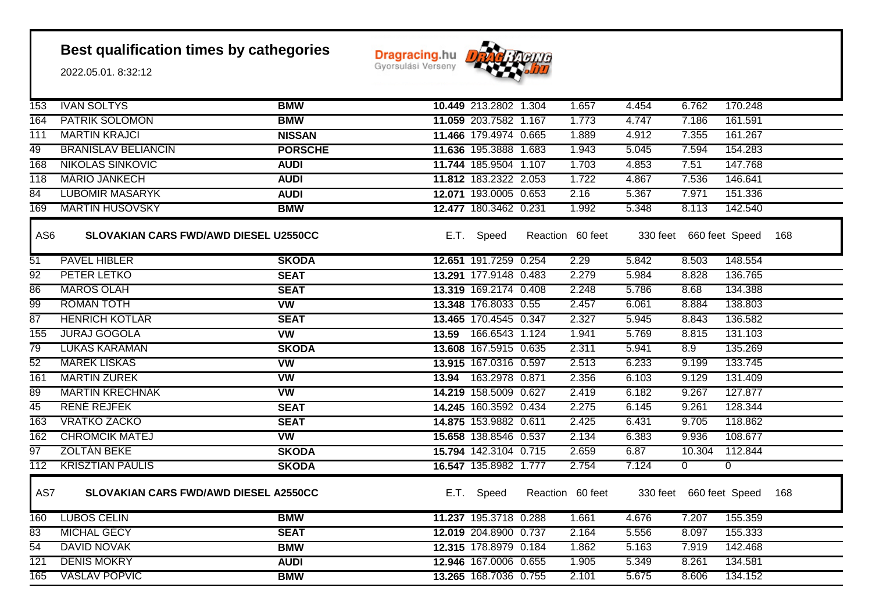**Dragracing.hu** 



| 153              | <b>IVAN SOLTYS</b>                    | <b>BMW</b>             | 10.449 213.2802 1.304 | 1.657            | 4.454 | 6.762                   | 170.248        |     |
|------------------|---------------------------------------|------------------------|-----------------------|------------------|-------|-------------------------|----------------|-----|
| 164              | <b>PATRIK SOLOMON</b>                 | <b>BMW</b>             | 11.059 203.7582 1.167 | 1.773            | 4.747 | 7.186                   | 161.591        |     |
| 111              | <b>MARTIN KRAJCI</b>                  | <b>NISSAN</b>          | 11.466 179.4974 0.665 | 1.889            | 4.912 | 7.355                   | 161.267        |     |
| 49               | <b>BRANISLAV BELIANCIN</b>            | <b>PORSCHE</b>         | 11.636 195.3888 1.683 | 1.943            | 5.045 | 7.594                   | 154.283        |     |
| 168              | <b>NIKOLAS SINKOVIC</b>               | <b>AUDI</b>            | 11.744 185.9504 1.107 | 1.703            | 4.853 | 7.51                    | 147.768        |     |
| 118              | <b>MÁRIO JANKECH</b>                  | <b>AUDI</b>            | 11.812 183.2322 2.053 | 1.722            | 4.867 | 7.536                   | 146.641        |     |
| 84               | <b>LUBOMIR MASARYK</b>                | <b>AUDI</b>            | 12.071 193.0005 0.653 | 2.16             | 5.367 | 7.971                   | 151.336        |     |
| 169              | <b>MARTIN HUSOVSKY</b>                | <b>BMW</b>             | 12.477 180.3462 0.231 | 1.992            | 5.348 | 8.113                   | 142.540        |     |
| AS <sub>6</sub>  | SLOVAKIAN CARS FWD/AWD DIESEL U2550CC |                        | E.T. Speed            | Reaction 60 feet |       | 330 feet 660 feet Speed |                | 168 |
| 51               | <b>PAVEL HIBLER</b>                   | <b>SKODA</b>           | 12.651 191.7259 0.254 | 2.29             | 5.842 | 8.503                   | 148.554        |     |
| $\overline{92}$  | PETER LETKO                           | <b>SEAT</b>            | 13.291 177.9148 0.483 | 2.279            | 5.984 | 8.828                   | 136.765        |     |
| 86               | <b>MAROS OLAH</b>                     | <b>SEAT</b>            | 13.319 169.2174 0.408 | 2.248            | 5.786 | 8.68                    | 134.388        |     |
| 99               | <b>ROMAN TOTH</b>                     | <b>VW</b>              | 13.348 176.8033 0.55  | 2.457            | 6.061 | 8.884                   | 138.803        |     |
| 87               | <b>HENRICH KOTLAR</b>                 | <b>SEAT</b>            | 13.465 170.4545 0.347 | 2.327            | 5.945 | 8.843                   | 136.582        |     |
| 155              | <b>JURAJ GOGOLA</b>                   | <b>VW</b>              | 13.59 166.6543 1.124  | 1.941            | 5.769 | 8.815                   | 131.103        |     |
| $\overline{79}$  | <b>LUKAS KARAMAN</b>                  | <b>SKODA</b>           | 13.608 167.5915 0.635 | 2.311            | 5.941 | 8.9                     | 135.269        |     |
| $\overline{52}$  | <b>MAREK LISKAS</b>                   | $\overline{\text{vw}}$ | 13.915 167.0316 0.597 | 2.513            | 6.233 | 9.199                   | 133.745        |     |
| 161              | <b>MARTIN ZUREK</b>                   | <b>VW</b>              | 13.94 163.2978 0.871  | 2.356            | 6.103 | 9.129                   | 131.409        |     |
| 89               | <b>MARTIN KRECHNAK</b>                | <b>VW</b>              | 14.219 158.5009 0.627 | 2.419            | 6.182 | 9.267                   | 127.877        |     |
| 45               | <b>RENE REJFEK</b>                    | <b>SEAT</b>            | 14.245 160.3592 0.434 | 2.275            | 6.145 | 9.261                   | 128.344        |     |
| 163              | <b>VRATKO ZACKO</b>                   | <b>SEAT</b>            | 14.875 153.9882 0.611 | 2.425            | 6.431 | 9.705                   | 118.862        |     |
| 162              | <b>CHROMCIK MATEJ</b>                 | $\overline{\text{vw}}$ | 15.658 138.8546 0.537 | 2.134            | 6.383 | 9.936                   | 108.677        |     |
| 97               | <b>ZOLTÁN BEKE</b>                    | <b>SKODA</b>           | 15.794 142.3104 0.715 | 2.659            | 6.87  | 10.304                  | 112.844        |     |
| $\overline{112}$ | <b>KRISZTIAN PAULIS</b>               | <b>SKODA</b>           | 16.547 135.8982 1.777 | 2.754            | 7.124 | $\Omega$                | $\overline{0}$ |     |
| AS7              | SLOVAKIAN CARS FWD/AWD DIESEL A2550CC |                        | E.T. Speed            | Reaction 60 feet |       | 330 feet 660 feet Speed |                | 168 |
| 160              | <b>LUBOS CELIN</b>                    | <b>BMW</b>             | 11.237 195.3718 0.288 | 1.661            | 4.676 | 7.207                   | 155.359        |     |
| 83               | <b>MICHAL GECY</b>                    | <b>SEAT</b>            | 12.019 204.8900 0.737 | 2.164            | 5.556 | 8.097                   | 155.333        |     |
| $\overline{54}$  | <b>DAVID NOVAK</b>                    | <b>BMW</b>             | 12.315 178.8979 0.184 | 1.862            | 5.163 | 7.919                   | 142.468        |     |
| $\overline{121}$ | <b>DENIS MOKRY</b>                    | <b>AUDI</b>            | 12.946 167.0006 0.655 | 1.905            | 5.349 | 8.261                   | 134.581        |     |
| 165              | <b>VASLAV POPVIC</b>                  | <b>BMW</b>             | 13.265 168.7036 0.755 | 2.101            | 5.675 | 8.606                   | 134.152        |     |
|                  |                                       |                        |                       |                  |       |                         |                |     |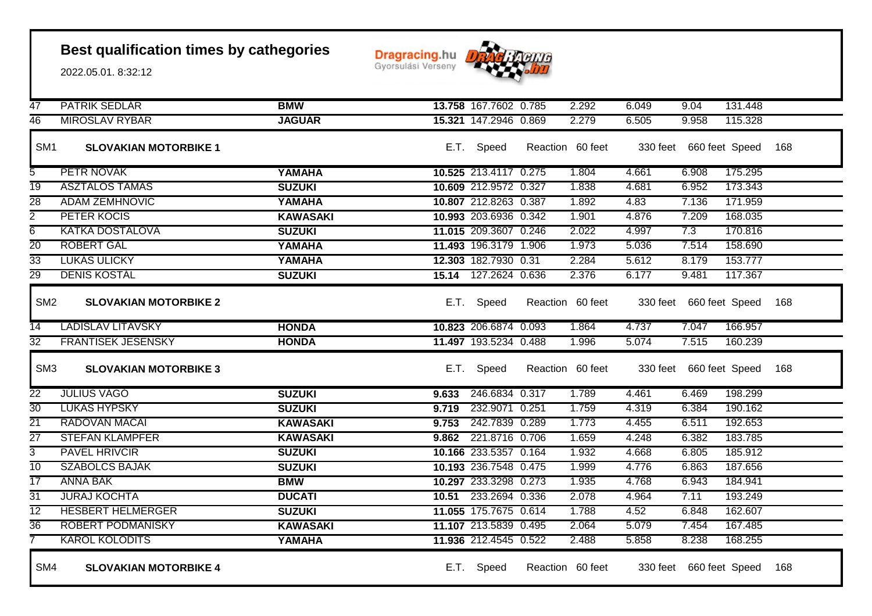**Dragracing.hu** 



| 47                | <b>PATRIK SEDLAR</b>         | <b>BMW</b>      |       | 13.758 167.7602 0.785 | 2.292            | 6.049 | 9.04                    | 131.448                     |     |
|-------------------|------------------------------|-----------------|-------|-----------------------|------------------|-------|-------------------------|-----------------------------|-----|
| 46                | <b>MIROSLAV RYBAR</b>        | <b>JAGUAR</b>   |       | 15.321 147.2946 0.869 | 2.279            | 6.505 | 9.958                   | 115.328                     |     |
| SM <sub>1</sub>   | <b>SLOVAKIAN MOTORBIKE 1</b> |                 |       | E.T. Speed            | Reaction 60 feet |       |                         | 330 feet 660 feet Speed 168 |     |
| 5                 | PETR NOVAK                   | YAMAHA          |       | 10.525 213.4117 0.275 | 1.804            | 4.661 | 6.908                   | 175.295                     |     |
| $\overline{19}$   | <b>ASZTALOS TAMAS</b>        | <b>SUZUKI</b>   |       | 10.609 212.9572 0.327 | 1.838            | 4.681 | 6.952                   | 173.343                     |     |
| $\overline{28}$   | <b>ADAM ZEMHNOVIC</b>        | YAMAHA          |       | 10.807 212.8263 0.387 | 1.892            | 4.83  | 7.136                   | 171.959                     |     |
| $\overline{2}$    | PETER KOCIS                  | <b>KAWASAKI</b> |       | 10.993 203.6936 0.342 | 1.901            | 4.876 | 7.209                   | 168.035                     |     |
| $\overline{6}$    | <b>KATKA DOSTALOVA</b>       | <b>SUZUKI</b>   |       | 11.015 209.3607 0.246 | 2.022            | 4.997 | 7.3                     | 170.816                     |     |
| $\overline{20}$   | <b>ROBERT GAL</b>            | YAMAHA          |       | 11.493 196.3179 1.906 | 1.973            | 5.036 | 7.514                   | 158.690                     |     |
| $\overline{33}$   | <b>LUKAS ULICKY</b>          | YAMAHA          |       | 12.303 182.7930 0.31  | 2.284            | 5.612 | 8.179                   | 153.777                     |     |
| 29                | <b>DENIS KOSTAL</b>          | <b>SUZUKI</b>   |       | 15.14 127.2624 0.636  | 2.376            | 6.177 | 9.481                   | 117.367                     |     |
| SM <sub>2</sub>   | <b>SLOVAKIAN MOTORBIKE 2</b> |                 |       | E.T. Speed            | Reaction 60 feet |       |                         | 330 feet 660 feet Speed     | 168 |
| 14                | <b>LADISLAV LITAVSKY</b>     | <b>HONDA</b>    |       | 10.823 206.6874 0.093 | 1.864            | 4.737 | 7.047                   | 166.957                     |     |
| $\overline{32}$   | <b>FRANTISEK JESENSKY</b>    | <b>HONDA</b>    |       | 11.497 193.5234 0.488 | 1.996            | 5.074 | 7.515                   | 160.239                     |     |
| SM <sub>3</sub>   | <b>SLOVAKIAN MOTORBIKE 3</b> |                 |       | E.T. Speed            | Reaction 60 feet |       | 330 feet 660 feet Speed |                             | 168 |
| $\overline{22}$   | <b>JULIUS VAGO</b>           | <b>SUZUKI</b>   | 9.633 | 246.6834 0.317        | 1.789            | 4.461 | 6.469                   | 198.299                     |     |
| $\overline{30}$   | <b>LUKAS HYPSKY</b>          | <b>SUZUKI</b>   | 9.719 | 232.9071 0.251        | 1.759            | 4.319 | 6.384                   | 190.162                     |     |
| $\overline{21}$   | <b>RADOVAN MACAI</b>         | <b>KAWASAKI</b> | 9.753 | 242.7839 0.289        | 1.773            | 4.455 | 6.511                   | 192.653                     |     |
| $\overline{27}$   | <b>STEFAN KLAMPFER</b>       | <b>KAWASAKI</b> |       | 9.862 221.8716 0.706  | 1.659            | 4.248 | 6.382                   | 183.785                     |     |
| $\overline{3}$    | <b>PAVEL HRIVCIR</b>         | <b>SUZUKI</b>   |       | 10.166 233.5357 0.164 | 1.932            | 4.668 | 6.805                   | 185.912                     |     |
| $\overline{10}$   | <b>SZABOLCS BAJAK</b>        | <b>SUZUKI</b>   |       | 10.193 236.7548 0.475 | 1.999            | 4.776 | 6.863                   | 187.656                     |     |
| $\overline{17}$   | <b>ANNA BAK</b>              | <b>BMW</b>      |       | 10.297 233.3298 0.273 | 1.935            | 4.768 | 6.943                   | 184.941                     |     |
| $\overline{31}$   | <b>JURAJ KOCHTA</b>          | <b>DUCATI</b>   |       | 10.51 233.2694 0.336  | 2.078            | 4.964 | 7.11                    | 193.249                     |     |
| $\overline{12}$   | <b>HESBERT HELMERGER</b>     | <b>SUZUKI</b>   |       | 11.055 175.7675 0.614 | 1.788            | 4.52  | 6.848                   | 162.607                     |     |
| $\overline{36}$   | <b>ROBERT PODMANISKY</b>     | <b>KAWASAKI</b> |       | 11.107 213.5839 0.495 | 2.064            | 5.079 | 7.454                   | 167.485                     |     |
| $\overline{\tau}$ | <b>KAROL KOLODITS</b>        | YAMAHA          |       | 11.936 212.4545 0.522 | 2.488            | 5.858 | 8.238                   | 168.255                     |     |
| SM4               | <b>SLOVAKIAN MOTORBIKE 4</b> |                 |       | E.T. Speed            | Reaction 60 feet |       | 330 feet 660 feet Speed |                             | 168 |